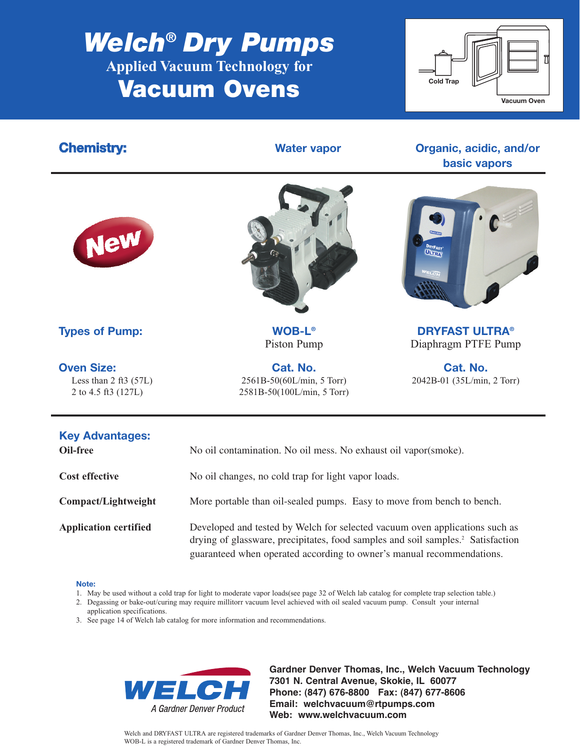# *Welch***®** *Dry Pumps* **Applied Vacuum Technology for Vacuum Ovens**



## **Chemistry: Chemistry: Water vapor Organic, acidic, and/or basic vapors**





**Oven Size:** Cat. No. Cat. No. Cat. No. Cat. No. Less than 2 ft3 (57L) 2561B-50(60L/min, 5 Torr) 2042B-01 (35L/min, 2 Torr) 2 to 4.5 ft3 (127L) 2581B-50(100L/min, 5 Torr)



**Types of Pump:** WOB-L® **WOB-L® DRYFAST ULTRA®** Piston Pump Diaphragm PTFE Pump

| <b>Key Advantages:</b><br>Oil-free | No oil contamination. No oil mess. No exhaust oil vapor(smoke).                                                                                                                                                                                     |  |  |  |  |
|------------------------------------|-----------------------------------------------------------------------------------------------------------------------------------------------------------------------------------------------------------------------------------------------------|--|--|--|--|
| <b>Cost effective</b>              | No oil changes, no cold trap for light vapor loads.                                                                                                                                                                                                 |  |  |  |  |
| Compact/Lightweight                | More portable than oil-sealed pumps. Easy to move from bench to bench.                                                                                                                                                                              |  |  |  |  |
| <b>Application certified</b>       | Developed and tested by Welch for selected vacuum oven applications such as<br>drying of glassware, precipitates, food samples and soil samples. <sup>2</sup> Satisfaction<br>guaranteed when operated according to owner's manual recommendations. |  |  |  |  |

### **Note:**

- 1. May be used without a cold trap for light to moderate vapor loads(see page 32 of Welch lab catalog for complete trap selection table.)
- 2. Degassing or bake-out/curing may require millitorr vacuum level achieved with oil sealed vacuum pump. Consult your internal
- application specifications.
- 3. See page 14 of Welch lab catalog for more information and recommendations.



**Gardner Denver Thomas, Inc., Welch Vacuum Technology 7301 N. Central Avenue, Skokie, IL 60077 Phone: (847) 676-8800 Fax: (847) 677-8606 Email: welchvacuum@rtpumps.com Web: www.welchvacuum.com**